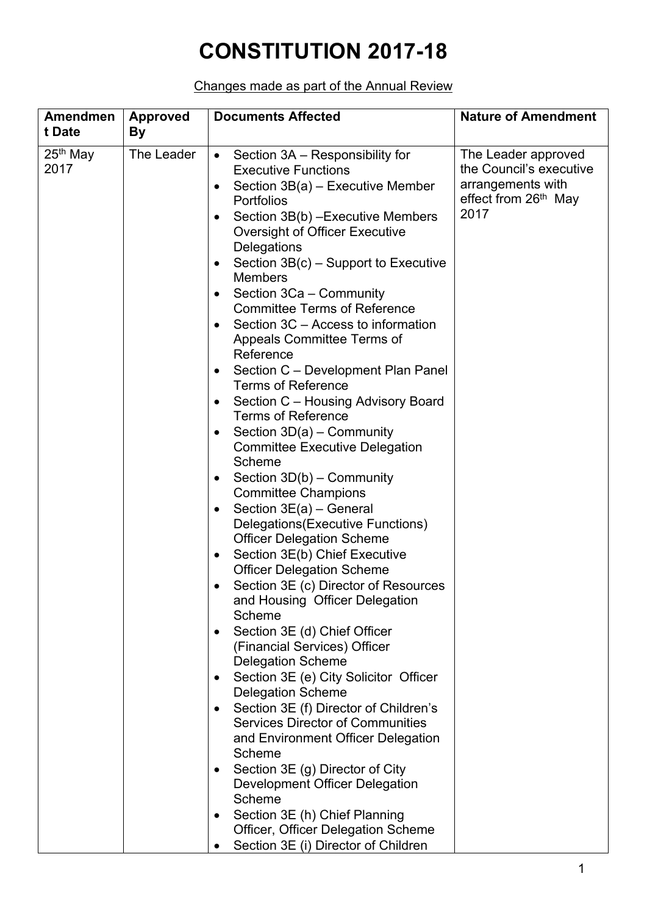## **CONSTITUTION 2017-18**

## Changes made as part of the Annual Review

| <b>Amendmen</b><br>t Date | <b>Approved</b><br>By | <b>Documents Affected</b>                                                                                                                                                                                                                                                                                                                                                                                                                                                                                                                                                                                                                                                                                                                                                                                                                                                                                                                                                                                                                                                                                                                                                                                                                                                                                                                                                                                                                                                                                                                                                                                                                                                    | <b>Nature of Amendment</b>                                                                                      |
|---------------------------|-----------------------|------------------------------------------------------------------------------------------------------------------------------------------------------------------------------------------------------------------------------------------------------------------------------------------------------------------------------------------------------------------------------------------------------------------------------------------------------------------------------------------------------------------------------------------------------------------------------------------------------------------------------------------------------------------------------------------------------------------------------------------------------------------------------------------------------------------------------------------------------------------------------------------------------------------------------------------------------------------------------------------------------------------------------------------------------------------------------------------------------------------------------------------------------------------------------------------------------------------------------------------------------------------------------------------------------------------------------------------------------------------------------------------------------------------------------------------------------------------------------------------------------------------------------------------------------------------------------------------------------------------------------------------------------------------------------|-----------------------------------------------------------------------------------------------------------------|
| $25th$ May<br>2017        | The Leader            | Section 3A – Responsibility for<br>$\bullet$<br><b>Executive Functions</b><br>Section $3B(a)$ – Executive Member<br>٠<br>Portfolios<br>Section 3B(b) - Executive Members<br><b>Oversight of Officer Executive</b><br>Delegations<br>Section $3B(c)$ – Support to Executive<br>$\bullet$<br><b>Members</b><br>Section 3Ca - Community<br>$\bullet$<br><b>Committee Terms of Reference</b><br>Section 3C - Access to information<br>$\bullet$<br>Appeals Committee Terms of<br>Reference<br>Section C - Development Plan Panel<br>$\bullet$<br><b>Terms of Reference</b><br>Section C - Housing Advisory Board<br>$\bullet$<br><b>Terms of Reference</b><br>Section $3D(a)$ – Community<br>$\bullet$<br><b>Committee Executive Delegation</b><br>Scheme<br>Section $3D(b)$ – Community<br>$\bullet$<br><b>Committee Champions</b><br>Section 3E(a) - General<br>$\bullet$<br>Delegations (Executive Functions)<br><b>Officer Delegation Scheme</b><br>Section 3E(b) Chief Executive<br>$\bullet$<br><b>Officer Delegation Scheme</b><br>Section 3E (c) Director of Resources<br>$\bullet$<br>and Housing Officer Delegation<br>Scheme<br>Section 3E (d) Chief Officer<br>$\bullet$<br>(Financial Services) Officer<br><b>Delegation Scheme</b><br>Section 3E (e) City Solicitor Officer<br>$\bullet$<br><b>Delegation Scheme</b><br>Section 3E (f) Director of Children's<br>$\bullet$<br><b>Services Director of Communities</b><br>and Environment Officer Delegation<br>Scheme<br>Section 3E (g) Director of City<br>Development Officer Delegation<br>Scheme<br>Section 3E (h) Chief Planning<br>Officer, Officer Delegation Scheme<br>Section 3E (i) Director of Children | The Leader approved<br>the Council's executive<br>arrangements with<br>effect from 26 <sup>th</sup> May<br>2017 |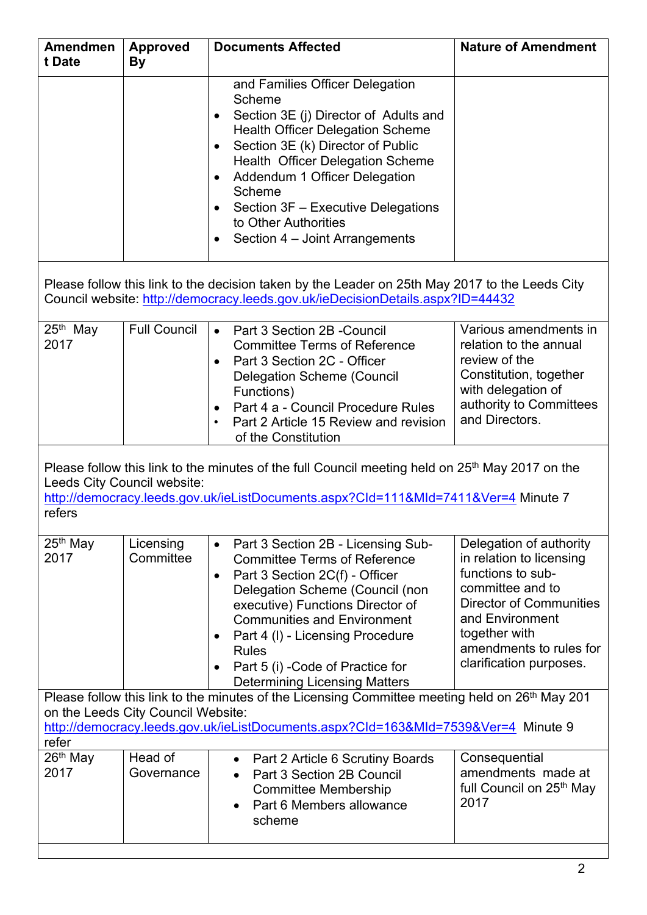| <b>Amendmen</b><br>t Date                                                                                                                                                                                                                       | <b>Approved</b><br><b>By</b> | <b>Documents Affected</b>                                                                                                                                                                                                                                                                                                                                                                        | <b>Nature of Amendment</b>                                                                                                                                                                                               |  |  |  |  |
|-------------------------------------------------------------------------------------------------------------------------------------------------------------------------------------------------------------------------------------------------|------------------------------|--------------------------------------------------------------------------------------------------------------------------------------------------------------------------------------------------------------------------------------------------------------------------------------------------------------------------------------------------------------------------------------------------|--------------------------------------------------------------------------------------------------------------------------------------------------------------------------------------------------------------------------|--|--|--|--|
|                                                                                                                                                                                                                                                 |                              | and Families Officer Delegation<br>Scheme<br>Section 3E (j) Director of Adults and<br>$\bullet$<br><b>Health Officer Delegation Scheme</b><br>Section 3E (k) Director of Public<br><b>Health Officer Delegation Scheme</b><br>Addendum 1 Officer Delegation<br>Scheme<br>Section 3F - Executive Delegations<br>to Other Authorities<br>Section 4 – Joint Arrangements<br>$\bullet$               |                                                                                                                                                                                                                          |  |  |  |  |
| Please follow this link to the decision taken by the Leader on 25th May 2017 to the Leeds City<br>Council website: http://democracy.leeds.gov.uk/ieDecisionDetails.aspx?ID=44432                                                                |                              |                                                                                                                                                                                                                                                                                                                                                                                                  |                                                                                                                                                                                                                          |  |  |  |  |
| 25th May<br>2017                                                                                                                                                                                                                                | <b>Full Council</b>          | Part 3 Section 2B - Council<br>$\bullet$<br><b>Committee Terms of Reference</b><br>Part 3 Section 2C - Officer<br><b>Delegation Scheme (Council</b><br>Functions)<br>Part 4 a - Council Procedure Rules<br>$\bullet$<br>Part 2 Article 15 Review and revision<br>$\bullet$<br>of the Constitution                                                                                                | Various amendments in<br>relation to the annual<br>review of the<br>Constitution, together<br>with delegation of<br>authority to Committees<br>and Directors.                                                            |  |  |  |  |
| Please follow this link to the minutes of the full Council meeting held on 25 <sup>th</sup> May 2017 on the<br>Leeds City Council website:<br>http://democracy.leeds.gov.uk/ieListDocuments.aspx?Cld=111&Mld=7411&Ver=4 Minute 7<br>refers      |                              |                                                                                                                                                                                                                                                                                                                                                                                                  |                                                                                                                                                                                                                          |  |  |  |  |
| $25th$ May<br>2017                                                                                                                                                                                                                              | Licensing<br>Committee       | Part 3 Section 2B - Licensing Sub-<br>$\bullet$<br><b>Committee Terms of Reference</b><br>Part 3 Section 2C(f) - Officer<br>$\bullet$<br>Delegation Scheme (Council (non<br>executive) Functions Director of<br><b>Communities and Environment</b><br>Part 4 (I) - Licensing Procedure<br>$\bullet$<br><b>Rules</b><br>Part 5 (i) - Code of Practice for<br><b>Determining Licensing Matters</b> | Delegation of authority<br>in relation to licensing<br>functions to sub-<br>committee and to<br><b>Director of Communities</b><br>and Environment<br>together with<br>amendments to rules for<br>clarification purposes. |  |  |  |  |
| Please follow this link to the minutes of the Licensing Committee meeting held on 26 <sup>th</sup> May 201<br>on the Leeds City Council Website:<br>http://democracy.leeds.gov.uk/ieListDocuments.aspx?Cld=163&Mld=7539&Ver=4 Minute 9<br>refer |                              |                                                                                                                                                                                                                                                                                                                                                                                                  |                                                                                                                                                                                                                          |  |  |  |  |
| 26th May<br>2017                                                                                                                                                                                                                                | Head of<br>Governance        | Part 2 Article 6 Scrutiny Boards<br>$\bullet$<br>Part 3 Section 2B Council<br>$\bullet$<br><b>Committee Membership</b><br>Part 6 Members allowance<br>scheme                                                                                                                                                                                                                                     | Consequential<br>amendments made at<br>full Council on 25 <sup>th</sup> May<br>2017                                                                                                                                      |  |  |  |  |